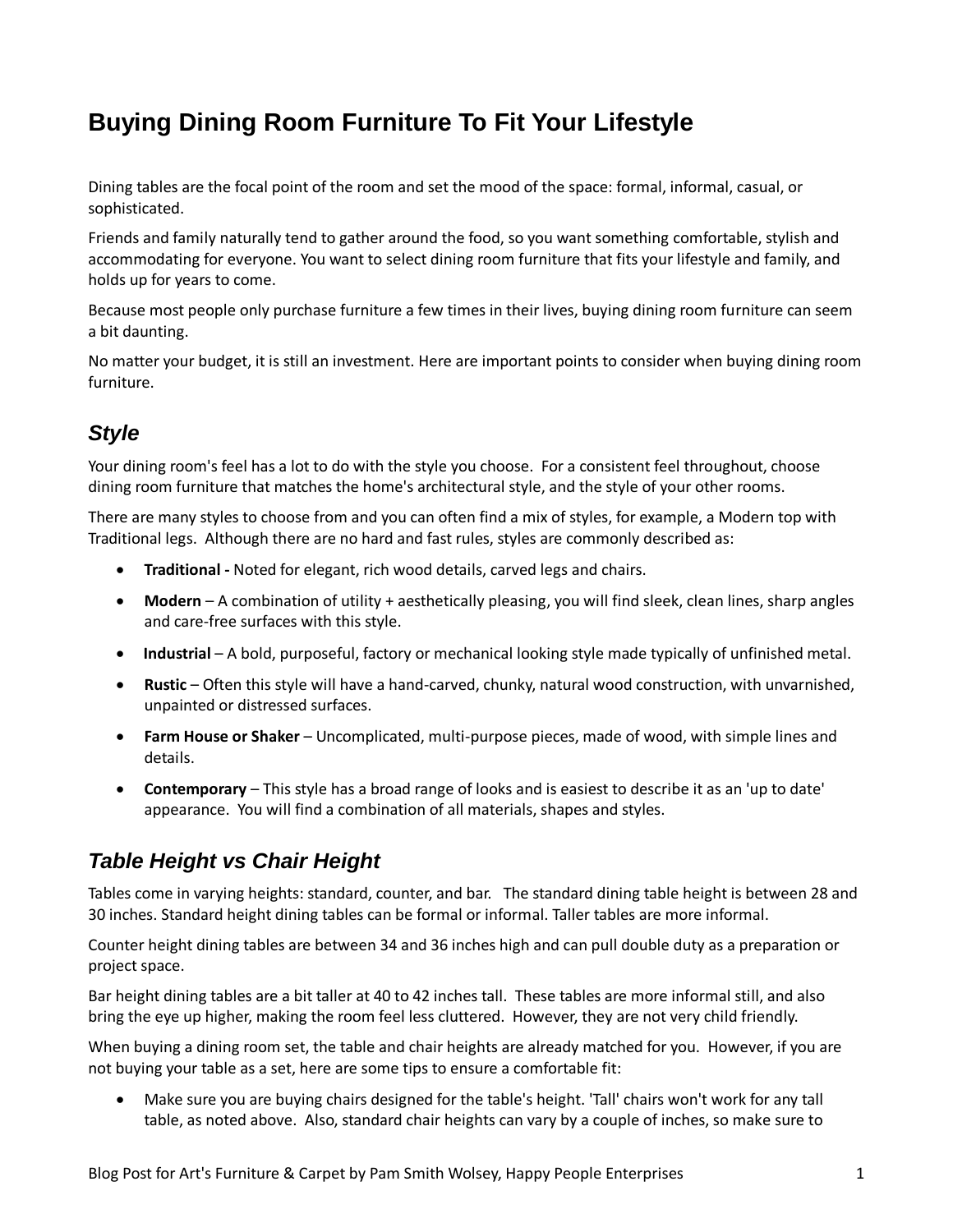# **Buying Dining Room Furniture To Fit Your Lifestyle**

Dining tables are the focal point of the room and set the mood of the space: formal, informal, casual, or sophisticated.

Friends and family naturally tend to gather around the food, so you want something comfortable, stylish and accommodating for everyone. You want to select dining room furniture that fits your lifestyle and family, and holds up for years to come.

Because most people only purchase furniture a few times in their lives, buying dining room furniture can seem a bit daunting.

No matter your budget, it is still an investment. Here are important points to consider when buying dining room furniture.

## *Style*

Your dining room's feel has a lot to do with the style you choose. For a consistent feel throughout, choose dining room furniture that matches the home's architectural style, and the style of your other rooms.

There are many styles to choose from and you can often find a mix of styles, for example, a Modern top with Traditional legs. Although there are no hard and fast rules, styles are commonly described as:

- **Traditional -** Noted for elegant, rich wood details, carved legs and chairs.
- **Modern** A combination of utility + aesthetically pleasing, you will find sleek, clean lines, sharp angles and care-free surfaces with this style.
- **Industrial** A bold, purposeful, factory or mechanical looking style made typically of unfinished metal.
- **Rustic**  Often this style will have a hand-carved, chunky, natural wood construction, with unvarnished, unpainted or distressed surfaces.
- **Farm House or Shaker** Uncomplicated, multi-purpose pieces, made of wood, with simple lines and details.
- **Contemporary** This style has a broad range of looks and is easiest to describe it as an 'up to date' appearance. You will find a combination of all materials, shapes and styles.

### *Table Height vs Chair Height*

Tables come in varying heights: standard, counter, and bar. The standard dining table height is between 28 and 30 inches. Standard height dining tables can be formal or informal. Taller tables are more informal.

Counter height dining tables are between 34 and 36 inches high and can pull double duty as a preparation or project space.

Bar height dining tables are a bit taller at 40 to 42 inches tall. These tables are more informal still, and also bring the eye up higher, making the room feel less cluttered. However, they are not very child friendly.

When buying a dining room set, the table and chair heights are already matched for you. However, if you are not buying your table as a set, here are some tips to ensure a comfortable fit:

 Make sure you are buying chairs designed for the table's height. 'Tall' chairs won't work for any tall table, as noted above. Also, standard chair heights can vary by a couple of inches, so make sure to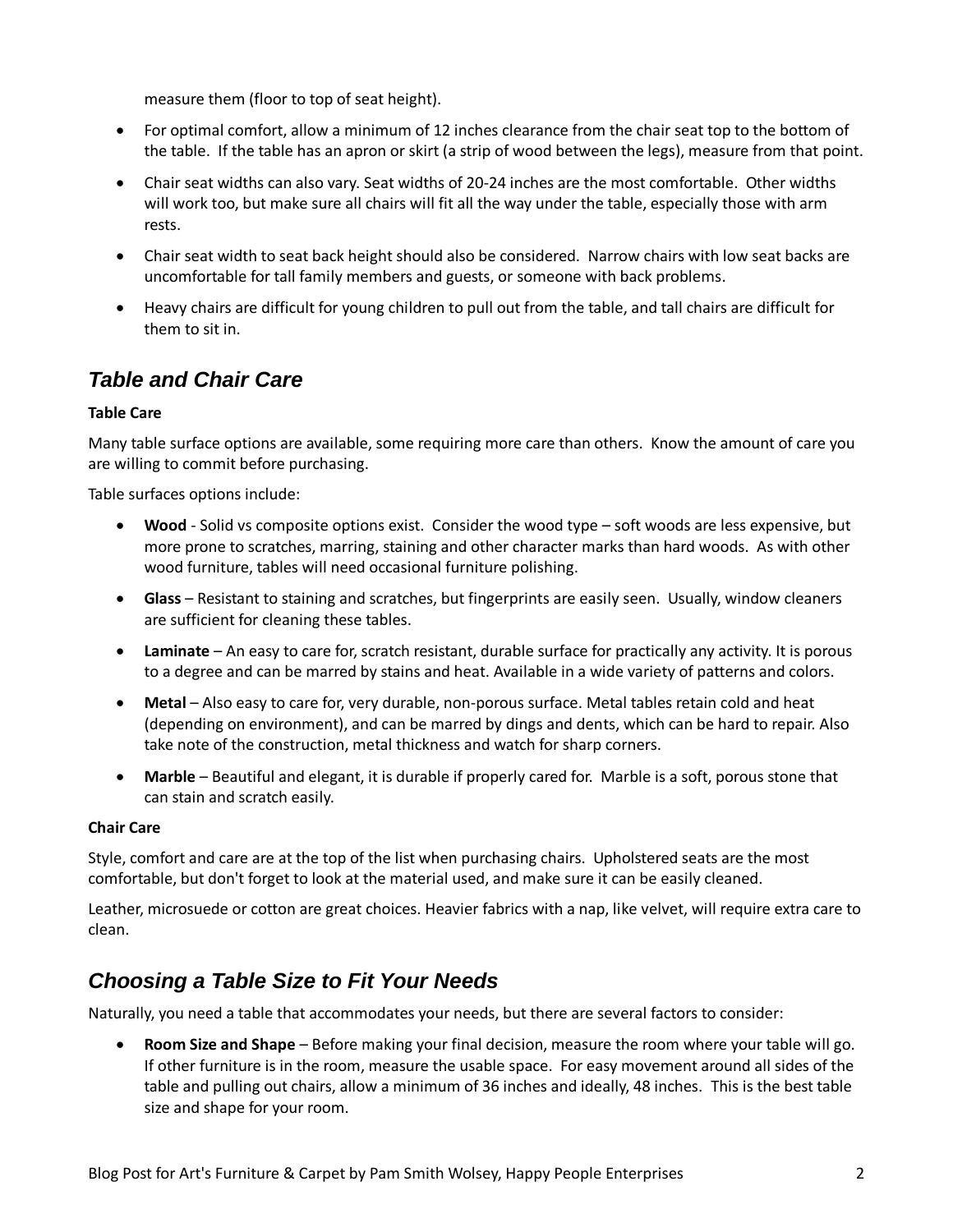measure them (floor to top of seat height).

- For optimal comfort, allow a minimum of 12 inches clearance from the chair seat top to the bottom of the table. If the table has an apron or skirt (a strip of wood between the legs), measure from that point.
- Chair seat widths can also vary. Seat widths of 20-24 inches are the most comfortable. Other widths will work too, but make sure all chairs will fit all the way under the table, especially those with arm rests.
- Chair seat width to seat back height should also be considered. Narrow chairs with low seat backs are uncomfortable for tall family members and guests, or someone with back problems.
- Heavy chairs are difficult for young children to pull out from the table, and tall chairs are difficult for them to sit in.

## *Table and Chair Care*

#### **Table Care**

Many table surface options are available, some requiring more care than others. Know the amount of care you are willing to commit before purchasing.

Table surfaces options include:

- **Wood** Solid vs composite options exist. Consider the wood type soft woods are less expensive, but more prone to scratches, marring, staining and other character marks than hard woods. As with other wood furniture, tables will need occasional furniture polishing.
- **Glass** Resistant to staining and scratches, but fingerprints are easily seen. Usually, window cleaners are sufficient for cleaning these tables.
- **Laminate** An easy to care for, scratch resistant, durable surface for practically any activity. It is porous to a degree and can be marred by stains and heat. Available in a wide variety of patterns and colors.
- **Metal** Also easy to care for, very durable, non-porous surface. Metal tables retain cold and heat (depending on environment), and can be marred by dings and dents, which can be hard to repair. Also take note of the construction, metal thickness and watch for sharp corners.
- **Marble** Beautiful and elegant, it is durable if properly cared for. Marble is a soft, porous stone that can stain and scratch easily.

#### **Chair Care**

Style, comfort and care are at the top of the list when purchasing chairs. Upholstered seats are the most comfortable, but don't forget to look at the material used, and make sure it can be easily cleaned.

Leather, microsuede or cotton are great choices. Heavier fabrics with a nap, like velvet, will require extra care to clean.

### *Choosing a Table Size to Fit Your Needs*

Naturally, you need a table that accommodates your needs, but there are several factors to consider:

 **Room Size and Shape** – Before making your final decision, measure the room where your table will go. If other furniture is in the room, measure the usable space. For easy movement around all sides of the table and pulling out chairs, allow a minimum of 36 inches and ideally, 48 inches. This is the best table size and shape for your room.